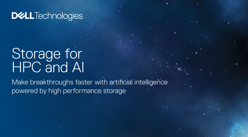# Storage for HPC and AI

Make breakthroughs faster with artificial intelligence powered by high performance storage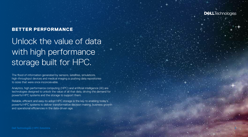

2

## BETTER PERFORMANCE

# Unlock the value of data with high performance storage built for HPC.

The flood of information generated by sensors, satellites, simulations, high-throughput devices and medical imaging is pushing data repositories to sizes that were once inconceivable.

Analytics, high performance computing (HPC) and artificial intelligence (AI) are technologies designed to unlock the value of all that data, driving the demand for powerful HPC systems and the storage to support them.

Reliable, efficient and easy-to-adopt HPC storage is the key to enabling today's powerful HPC systems to deliver transformative decision making, business growth and operational efficiencies in the data-driven age.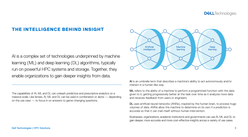### THE INTELLIGENCE BEHIND INSIGHT

AI is a complex set of technologies underpinned by machine learning (ML) and deep learning (DL) algorithms, typically run on powerful HPC systems and storage. Together, they enable organizations to gain deeper insights from data.

The capabilities of AI, ML and DL can unleash predictive and prescriptive analytics on a massive scale. Like lenses, AI, ML and DL can be used in combination or alone — depending on the use case — to focus in on answers to game-changing questions.



AI is an umbrella term that describes a machine's ability to act autonomously and/or interact in a human-like way.

ML refers to the ability of a machine to perform a programmed function with the data given to it, getting progressively better at the task over time as it analyzes more data and receives feedback from users or engineers.

DL uses artificial neural networks (ANNs), inspired by the human brain, to process huge volumes of data. ANNs allow the machine to determine on its own if a prediction is accurate so that it can train itself without human intervention.

Businesses, organizations, academic institutions and governments can use AI, ML and DL to gain deeper, more accurate and more cost-effective insights across a variety of use cases.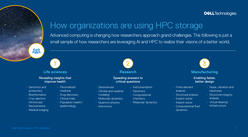# How organizations are using HPC storage

Advanced computing is changing how researchers approach grand challenges. The following is just a small sample of how researchers are leveraging AI and HPC to realize their visions of a better world.

203



#### Revealing insights that improve health

- Genomics and proteomics
- Bioinformatics
- Cryo-electron microscopy
- Neuroscience
- Medical imaging
- Personalized medicine
- Drug discovery
- Clinical trials
- Population health/
	- epidemiology



#### **Research**

#### Speeding answers to critical questions

- Geosciences
- Climate and weather modeling
- Molecular dynamics
- Quantum physics
- Astronomy



• Genomics • Computational chemistry • Molecular dynamics

- Finite element
	- analysis
	- Structural analysis
	- Explicit solver
	- Implicit solver
	- Computational fluid dynamics
- Noise, vibration and harshness
- Structural integrity analysis
- Virtual desktop infrastructure

3

**Manufacturing**  Enabling faster, better design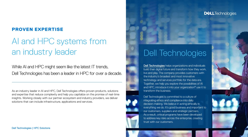## PROVEN EXPERTISE

# AI and HPC systems from an industry leader

While AI and HPC might seem like the latest IT trends, Dell Technologies has been a leader in HPC for over a decade.

As an industry leader in AI and HPC, Dell Technologies offers proven products, solutions and expertise that reduce complexity and help you capitalize on the promise of real-time insights. Working closely with our partner ecosystem and industry providers, we deliver solutions that can include infrastructure, applications and services.

# Dell Technologies

**DELL**Technologies

[Dell Technologies](http://www.delltechnologies.com/) helps organizations and individuals build their digital future and transform how they work, live and play. The company provides customers with the industry's broadest and most innovative technology and services portfolio for the data era. Together, we help you explore the possibilities of AI and HPC, introduce it into your organization® use it to transform the business.

Dell Technologies is committed to a culture of integrating ethics and compliance into daily decision-making. We believe in acting ethically in everything we do. It's good business and important to our customers, suppliers and strategic partners. As a result, critical programs have been developed to address key risks across the enterprise, creating trust with our customers.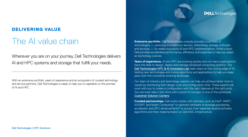## DELIVERING VALUE

# The AI value chain

Wherever you are on your journey, Dell Technologies delivers AI and HPC systems and storage that fulfill your needs.

With an extensive portfolio, years of experience and an ecosystem of curated technology and service partners, Dell Technologies is ready to help you to capitalize on the promise of AI and HPC.

- **Extensive portfolio.** Dell Technologies uniquely provides a portfolio of technologies — spanning workstations, servers, networking, storage, software and services — to create successful AI and HPC implementations. What's more, Dell provides accelerated performance, efficiency and expertise to help you adapt as technology evolves.
- **Years of experience.** AI and HPC are evolving quickly and not many organizations have the skills to design, deploy and manage advanced computing systems. The [Dell Technologies HPC & AI Innovation Lab](http://delltechnologies.com/innovationlab) team stays on the cutting edge of AI, testing new technologies and tuning algorithms and applications to help you keep pace with this constantly evolving landscape.
- Our team of industry and technology experts can help you achieve faster time to results by shortening both design cycle and configuration time. These experts will work with you to create a configuration with the right features at the right price. You can even take a test drive with a proof of concept, in one of the worldwide [Customer Solution Centers](http://delltechnologies.com/csc).
- **Curated partnerships.** Dell works closely with partners, such as Intel®, AMD®, NVIDIA®, and Bright Computing® to optimize hardware to leverage processing, accelerator and GPU advancements® to access their expertise around software algorithms and their implementation on Dell EMC infrastructure.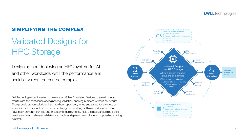## SIMPLIFYING THE COMPLEX

# Validated Designs for HPC Storage

Designing and deploying an HPC system for AI and other workloads with the performance and scalability required can be complex.

Dell Technologies has invested to create a portfolio of Validated Designs to speed time to results with the confidence of engineering validation, enabling business without boundaries. They provide proven solutions that have been optimized, tuned and tested for a variety of key use cases. They include the servers, storage, networking, software and services that have been proven in our labs and in customer deployments. Plus, the modular building blocks provide a customizable yet validated approach for deploying new clusters or upgrading existing systems.

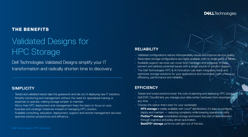## THE BENEFITS

# Validated Designs for HPC Storage

Dell Technologies Validated Designs simplify your IT transformation and radically shorten time to discovery.

#### **SIMPLICITY**

- Tested and validated stacks take the guesswork and risk out of deploying new IT solutions.
- Simplify monitoring and management without the need for specialized training or expertise to operate, making storage simpler to maintain.
- Worry-free HPC deployment and management frees the team to focus on core business and strategic initiatives instead of managing HPC clusters.
- Available consulting, education, deployment, support and remote management services optimize solution productivity and efficiency.

### **RELIABILITY**

- Validated configurations reduce interoperability issues and improve service quality.
- Redundant storage configurations are highly available, with no single point of failure.
- Available support services can cover both hardware and software, to help prevent and address potential issues with a single source of solution support.
- The Dell Technologies HPC & AI Innovation Lab team integrates, tests and optimizes storage solutions for your applications and workloads, with a focus on efficiency, performance and reliability.

#### **EFFICIENCY**

- Tested and tuned solutions lower the cost of planning and deploying HPC storage.
- Dell EMC CloudIQ lets you manage your data center hardware from anywhere, at any time.
- Choose the option that's best for your workloads:
	- ∙ **NFS storage** is widely available with Linux® distributions. It's easy to configure, deploy and maintain — reducing complexity while lowering operational costs.
- ∙ **PixStor™ storage** consolidates storage and lowers the cost of data retention through cognitive and policy-driven automation.
- **BeeGFS<sup>®</sup> storage** performs well right out of the box.

#### **DELL**Technologies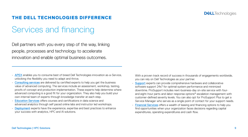

## THE DELL TECHNOLOGIES DIFFERENCE

# Services and financing

Dell partners with you every step of the way, linking people, processes and technology to accelerate innovation and enable optimal business outcomes.

- APEX enables you to consume best of breed Dell Technologies innovation as-a-Service, unlocking the flexibility you need to adapt and thrive.
- [Consulting services](https://delltechnologies.com/en-us/services/consulting-services/index.htm) are delivered by certified experts to help you get the business value of advanced computing. The services include an assessment, workshop, testing, proofs of concept and production implementation. These experts help determine where advanced computing is a good fit for your organization. They also help you build your own internal team of experts through knowledge transfer at each step.
- [Education Services](
http://delltechnologies.com/csc) offers courses and certifications in data science and advanced analytics through self paced online labs and instructor led workshops.
- [Deployment](https://delltechnologies.com/en-us/services/deployment-services/index.htm) experts have the experience, expertise and best practices to enhance your success with analytics, HPC and AI solutions.

With a proven track record of success in thousands of engagements worldwide, you can rely on Dell Technologies as your partner.

- [Support](https://delltechnologies.com/en-us/services/support-services/index.htm) experts can provide comprehensive hardware and collaborative software support 24x7 for optimal system performance and minimized downtime. ProSupport includes next-business-day on-site service with fourand eight-hour parts-and-labor response options® escalation management with customer-defined severity levels. You can also opt for ProSupport Plus to get a Service Manager who serves as a single point of contact for your support needs.
- [Financial Services](https://delltechnologies.com/en-us/payment-solutions/index.htm) offers a wealth of leasing and financing options to help you find opportunities when your organization faces decisions regarding capital expenditures, operating expenditures and cash flow.